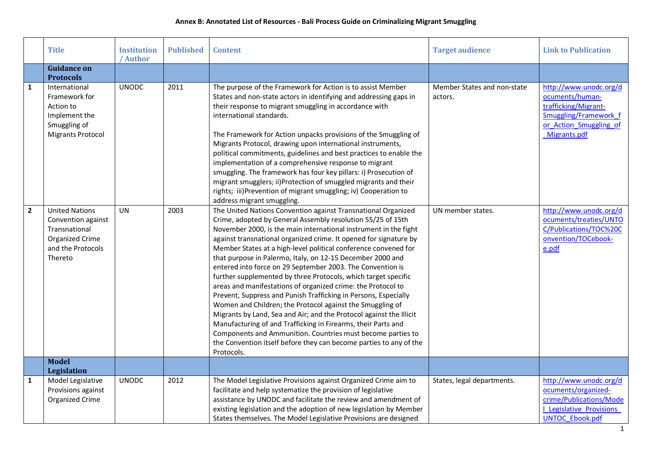|                | <b>Title</b>                                                                                                    | <b>Institution</b><br>/ Author | <b>Published</b> | <b>Content</b>                                                                                                                                                                                                                                                                                                                                                                                                                                                                                                                                                                                                                                                                                                                                                                                                                                                                                                                                                                                                                    | <b>Target audience</b>                 | <b>Link to Publication</b>                                                                                                           |
|----------------|-----------------------------------------------------------------------------------------------------------------|--------------------------------|------------------|-----------------------------------------------------------------------------------------------------------------------------------------------------------------------------------------------------------------------------------------------------------------------------------------------------------------------------------------------------------------------------------------------------------------------------------------------------------------------------------------------------------------------------------------------------------------------------------------------------------------------------------------------------------------------------------------------------------------------------------------------------------------------------------------------------------------------------------------------------------------------------------------------------------------------------------------------------------------------------------------------------------------------------------|----------------------------------------|--------------------------------------------------------------------------------------------------------------------------------------|
|                | <b>Guidance on</b><br><b>Protocols</b>                                                                          |                                |                  |                                                                                                                                                                                                                                                                                                                                                                                                                                                                                                                                                                                                                                                                                                                                                                                                                                                                                                                                                                                                                                   |                                        |                                                                                                                                      |
| $\mathbf{1}$   | International<br>Framework for<br>Action to<br>Implement the<br>Smuggling of<br><b>Migrants Protocol</b>        | <b>UNODC</b>                   | 2011             | The purpose of the Framework for Action is to assist Member<br>States and non-state actors in identifying and addressing gaps in<br>their response to migrant smuggling in accordance with<br>international standards.<br>The Framework for Action unpacks provisions of the Smuggling of<br>Migrants Protocol, drawing upon international instruments,<br>political commitments, guidelines and best practices to enable the<br>implementation of a comprehensive response to migrant<br>smuggling. The framework has four key pillars: i) Prosecution of<br>migrant smugglers; ii)Protection of smuggled migrants and their<br>rights; iii)Prevention of migrant smuggling; iv) Cooperation to<br>address migrant smuggling.                                                                                                                                                                                                                                                                                                    | Member States and non-state<br>actors. | http://www.unodc.org/d<br>ocuments/human-<br>trafficking/Migrant-<br>Smuggling/Framework f<br>or Action Smuggling of<br>Migrants.pdf |
| $\overline{2}$ | <b>United Nations</b><br>Convention against<br>Transnational<br>Organized Crime<br>and the Protocols<br>Thereto | <b>UN</b>                      | 2003             | The United Nations Convention against Transnational Organized<br>Crime, adopted by General Assembly resolution 55/25 of 15th<br>November 2000, is the main international instrument in the fight<br>against transnational organized crime. It opened for signature by<br>Member States at a high-level political conference convened for<br>that purpose in Palermo, Italy, on 12-15 December 2000 and<br>entered into force on 29 September 2003. The Convention is<br>further supplemented by three Protocols, which target specific<br>areas and manifestations of organized crime: the Protocol to<br>Prevent, Suppress and Punish Trafficking in Persons, Especially<br>Women and Children; the Protocol against the Smuggling of<br>Migrants by Land, Sea and Air; and the Protocol against the Illicit<br>Manufacturing of and Trafficking in Firearms, their Parts and<br>Components and Ammunition. Countries must become parties to<br>the Convention itself before they can become parties to any of the<br>Protocols. | UN member states.                      | http://www.unodc.org/d<br>ocuments/treaties/UNTO<br>C/Publications/TOC%20C<br>onvention/TOCebook-<br>e.pdf                           |
|                | <b>Model</b><br>Legislation                                                                                     |                                |                  |                                                                                                                                                                                                                                                                                                                                                                                                                                                                                                                                                                                                                                                                                                                                                                                                                                                                                                                                                                                                                                   |                                        |                                                                                                                                      |
| $\mathbf{1}$   | Model Legislative<br>Provisions against<br>Organized Crime                                                      | <b>UNODC</b>                   | 2012             | The Model Legislative Provisions against Organized Crime aim to<br>facilitate and help systematize the provision of legislative<br>assistance by UNODC and facilitate the review and amendment of<br>existing legislation and the adoption of new legislation by Member<br>States themselves. The Model Legislative Provisions are designed                                                                                                                                                                                                                                                                                                                                                                                                                                                                                                                                                                                                                                                                                       | States, legal departments.             | http://www.unodc.org/d<br>ocuments/organized-<br>crime/Publications/Mode<br>I Legislative Provisions<br><b>UNTOC Ebook.pdf</b>       |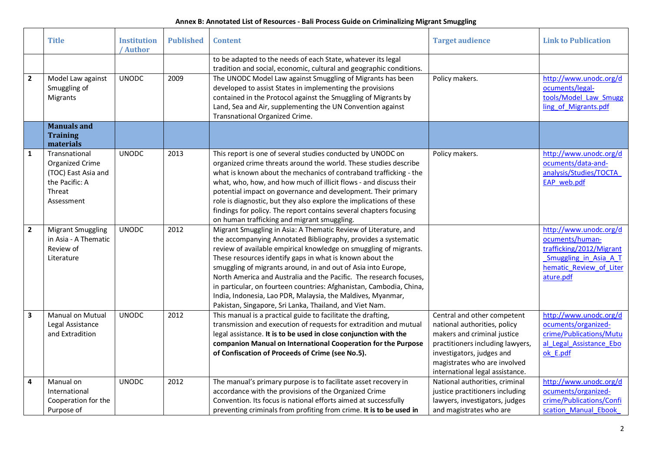|                         | <b>Title</b>                                                                                      | <b>Institution</b><br>' Author | <b>Published</b> | <b>Content</b>                                                                                                                                                                                                                                                                                                                                                                                                                                                                                                                                                                                             | <b>Target audience</b>                                                                                                                                                                                                         | <b>Link to Publication</b>                                                                                                             |
|-------------------------|---------------------------------------------------------------------------------------------------|--------------------------------|------------------|------------------------------------------------------------------------------------------------------------------------------------------------------------------------------------------------------------------------------------------------------------------------------------------------------------------------------------------------------------------------------------------------------------------------------------------------------------------------------------------------------------------------------------------------------------------------------------------------------------|--------------------------------------------------------------------------------------------------------------------------------------------------------------------------------------------------------------------------------|----------------------------------------------------------------------------------------------------------------------------------------|
|                         |                                                                                                   |                                |                  | to be adapted to the needs of each State, whatever its legal<br>tradition and social, economic, cultural and geographic conditions.                                                                                                                                                                                                                                                                                                                                                                                                                                                                        |                                                                                                                                                                                                                                |                                                                                                                                        |
| $\overline{2}$          | Model Law against<br>Smuggling of<br>Migrants                                                     | <b>UNODC</b>                   | 2009             | The UNODC Model Law against Smuggling of Migrants has been<br>developed to assist States in implementing the provisions<br>contained in the Protocol against the Smuggling of Migrants by<br>Land, Sea and Air, supplementing the UN Convention against<br>Transnational Organized Crime.                                                                                                                                                                                                                                                                                                                  | Policy makers.                                                                                                                                                                                                                 | http://www.unodc.org/d<br>ocuments/legal-<br>tools/Model_Law_Smugg<br>ling of Migrants.pdf                                             |
|                         | <b>Manuals and</b><br><b>Training</b><br>materials                                                |                                |                  |                                                                                                                                                                                                                                                                                                                                                                                                                                                                                                                                                                                                            |                                                                                                                                                                                                                                |                                                                                                                                        |
| $\mathbf{1}$            | Transnational<br>Organized Crime<br>(TOC) East Asia and<br>the Pacific: A<br>Threat<br>Assessment | <b>UNODC</b>                   | 2013             | This report is one of several studies conducted by UNODC on<br>organized crime threats around the world. These studies describe<br>what is known about the mechanics of contraband trafficking - the<br>what, who, how, and how much of illicit flows - and discuss their<br>potential impact on governance and development. Their primary<br>role is diagnostic, but they also explore the implications of these<br>findings for policy. The report contains several chapters focusing<br>on human trafficking and migrant smuggling.                                                                     | Policy makers.                                                                                                                                                                                                                 | http://www.unodc.org/d<br>ocuments/data-and-<br>analysis/Studies/TOCTA<br>EAP web.pdf                                                  |
| $\overline{2}$          | <b>Migrant Smuggling</b><br>in Asia - A Thematic<br>Review of<br>Literature                       | <b>UNODC</b>                   | 2012             | Migrant Smuggling in Asia: A Thematic Review of Literature, and<br>the accompanying Annotated Bibliography, provides a systematic<br>review of available empirical knowledge on smuggling of migrants.<br>These resources identify gaps in what is known about the<br>smuggling of migrants around, in and out of Asia into Europe,<br>North America and Australia and the Pacific. The research focuses,<br>in particular, on fourteen countries: Afghanistan, Cambodia, China,<br>India, Indonesia, Lao PDR, Malaysia, the Maldives, Myanmar,<br>Pakistan, Singapore, Sri Lanka, Thailand, and Viet Nam. |                                                                                                                                                                                                                                | http://www.unodc.org/d<br>ocuments/human-<br>trafficking/2012/Migrant<br>Smuggling in Asia A T<br>hematic Review of Liter<br>ature.pdf |
| $\overline{\mathbf{3}}$ | <b>Manual on Mutual</b><br>Legal Assistance<br>and Extradition                                    | <b>UNODC</b>                   | 2012             | This manual is a practical guide to facilitate the drafting,<br>transmission and execution of requests for extradition and mutual<br>legal assistance. It is to be used in close conjunction with the<br>companion Manual on International Cooperation for the Purpose<br>of Confiscation of Proceeds of Crime (see No.5).                                                                                                                                                                                                                                                                                 | Central and other competent<br>national authorities, policy<br>makers and criminal justice<br>practitioners including lawyers,<br>investigators, judges and<br>magistrates who are involved<br>international legal assistance. | http://www.unodc.org/d<br>ocuments/organized-<br>crime/Publications/Mutu<br>al Legal Assistance Ebo<br>ok E.pdf                        |
| 4                       | Manual on<br>International<br>Cooperation for the<br>Purpose of                                   | <b>UNODC</b>                   | 2012             | The manual's primary purpose is to facilitate asset recovery in<br>accordance with the provisions of the Organized Crime<br>Convention. Its focus is national efforts aimed at successfully<br>preventing criminals from profiting from crime. It is to be used in                                                                                                                                                                                                                                                                                                                                         | National authorities, criminal<br>justice practitioners including<br>lawyers, investigators, judges<br>and magistrates who are                                                                                                 | http://www.unodc.org/d<br>ocuments/organized-<br>crime/Publications/Confi<br>scation Manual Ebook                                      |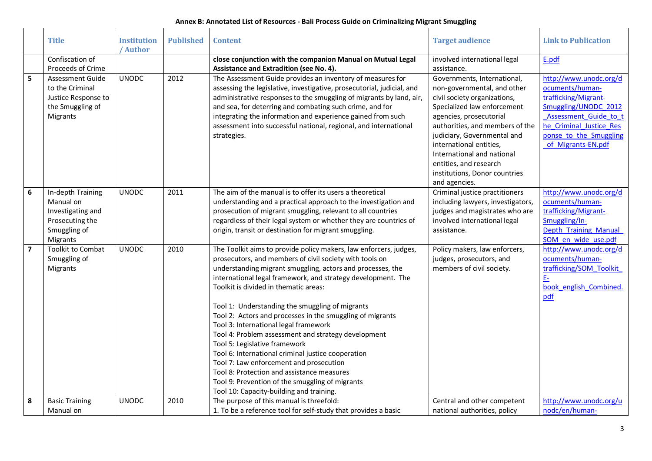|                         | <b>Title</b>                                                                                       | <b>Institution</b><br>' Author | <b>Published</b> | <b>Content</b>                                                                                                                                                                                                                                                                                                                                                                                                                                                                                                                                                                                                                                                                                                                                                                                     | <b>Target audience</b>                                                                                                                                                                                                                                                                                                                     | <b>Link to Publication</b>                                                                                                                                                                    |
|-------------------------|----------------------------------------------------------------------------------------------------|--------------------------------|------------------|----------------------------------------------------------------------------------------------------------------------------------------------------------------------------------------------------------------------------------------------------------------------------------------------------------------------------------------------------------------------------------------------------------------------------------------------------------------------------------------------------------------------------------------------------------------------------------------------------------------------------------------------------------------------------------------------------------------------------------------------------------------------------------------------------|--------------------------------------------------------------------------------------------------------------------------------------------------------------------------------------------------------------------------------------------------------------------------------------------------------------------------------------------|-----------------------------------------------------------------------------------------------------------------------------------------------------------------------------------------------|
|                         | Confiscation of                                                                                    |                                |                  | close conjunction with the companion Manual on Mutual Legal                                                                                                                                                                                                                                                                                                                                                                                                                                                                                                                                                                                                                                                                                                                                        | involved international legal                                                                                                                                                                                                                                                                                                               | E.pdf                                                                                                                                                                                         |
|                         | Proceeds of Crime                                                                                  |                                |                  | Assistance and Extradition (see No. 4).                                                                                                                                                                                                                                                                                                                                                                                                                                                                                                                                                                                                                                                                                                                                                            | assistance.                                                                                                                                                                                                                                                                                                                                |                                                                                                                                                                                               |
| $5\phantom{a}$          | <b>Assessment Guide</b><br>to the Criminal<br>Justice Response to<br>the Smuggling of<br>Migrants  | <b>UNODC</b>                   | 2012             | The Assessment Guide provides an inventory of measures for<br>assessing the legislative, investigative, prosecutorial, judicial, and<br>administrative responses to the smuggling of migrants by land, air,<br>and sea, for deterring and combating such crime, and for<br>integrating the information and experience gained from such<br>assessment into successful national, regional, and international<br>strategies.                                                                                                                                                                                                                                                                                                                                                                          | Governments, International,<br>non-governmental, and other<br>civil society organizations,<br>Specialized law enforcement<br>agencies, prosecutorial<br>authorities, and members of the<br>judiciary, Governmental and<br>international entities,<br>International and national<br>entities, and research<br>institutions, Donor countries | http://www.unodc.org/d<br>ocuments/human-<br>trafficking/Migrant-<br>Smuggling/UNODC 2012<br>Assessment Guide to 1<br>he Criminal Justice Res<br>ponse to the Smuggling<br>of Migrants-EN.pdf |
|                         |                                                                                                    |                                |                  |                                                                                                                                                                                                                                                                                                                                                                                                                                                                                                                                                                                                                                                                                                                                                                                                    | and agencies.                                                                                                                                                                                                                                                                                                                              |                                                                                                                                                                                               |
| 6                       | In-depth Training<br>Manual on<br>Investigating and<br>Prosecuting the<br>Smuggling of<br>Migrants | <b>UNODC</b>                   | 2011             | The aim of the manual is to offer its users a theoretical<br>understanding and a practical approach to the investigation and<br>prosecution of migrant smuggling, relevant to all countries<br>regardless of their legal system or whether they are countries of<br>origin, transit or destination for migrant smuggling.                                                                                                                                                                                                                                                                                                                                                                                                                                                                          | Criminal justice practitioners<br>including lawyers, investigators,<br>judges and magistrates who are<br>involved international legal<br>assistance.                                                                                                                                                                                       | http://www.unodc.org/d<br>ocuments/human-<br>trafficking/Migrant-<br>Smuggling/In-<br>Depth Training Manual<br>SOM en wide use.pdf                                                            |
| $\overline{\mathbf{z}}$ | <b>Toolkit to Combat</b><br>Smuggling of<br>Migrants                                               | <b>UNODC</b>                   | 2010             | The Toolkit aims to provide policy makers, law enforcers, judges,<br>prosecutors, and members of civil society with tools on<br>understanding migrant smuggling, actors and processes, the<br>international legal framework, and strategy development. The<br>Toolkit is divided in thematic areas:<br>Tool 1: Understanding the smuggling of migrants<br>Tool 2: Actors and processes in the smuggling of migrants<br>Tool 3: International legal framework<br>Tool 4: Problem assessment and strategy development<br>Tool 5: Legislative framework<br>Tool 6: International criminal justice cooperation<br>Tool 7: Law enforcement and prosecution<br>Tool 8: Protection and assistance measures<br>Tool 9: Prevention of the smuggling of migrants<br>Tool 10: Capacity-building and training. | Policy makers, law enforcers,<br>judges, prosecutors, and<br>members of civil society.                                                                                                                                                                                                                                                     | http://www.unodc.org/d<br>ocuments/human-<br>trafficking/SOM Toolkit<br>E <sub>2</sub><br>book english Combined.<br>pdf                                                                       |
| 8                       | <b>Basic Training</b><br>Manual on                                                                 | <b>UNODC</b>                   | 2010             | The purpose of this manual is threefold:<br>1. To be a reference tool for self-study that provides a basic                                                                                                                                                                                                                                                                                                                                                                                                                                                                                                                                                                                                                                                                                         | Central and other competent<br>national authorities, policy                                                                                                                                                                                                                                                                                | http://www.unodc.org/u<br>nodc/en/human-                                                                                                                                                      |
|                         |                                                                                                    |                                |                  |                                                                                                                                                                                                                                                                                                                                                                                                                                                                                                                                                                                                                                                                                                                                                                                                    |                                                                                                                                                                                                                                                                                                                                            |                                                                                                                                                                                               |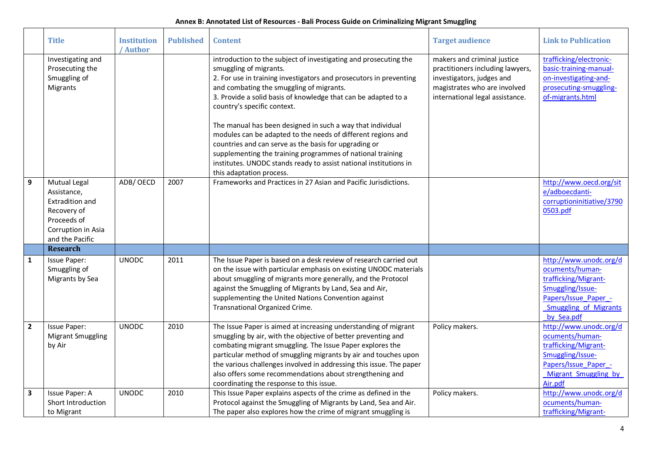|                | <b>Title</b>                                                                                                          | <b>Institution</b><br>/ Author | <b>Published</b> | <b>Content</b>                                                                                                                                                                                                                                                                                                                                                                                                                                                                                                                                                                                                                                                      | <b>Target audience</b>                                                                                                                                          | <b>Link to Publication</b>                                                                                                                                  |
|----------------|-----------------------------------------------------------------------------------------------------------------------|--------------------------------|------------------|---------------------------------------------------------------------------------------------------------------------------------------------------------------------------------------------------------------------------------------------------------------------------------------------------------------------------------------------------------------------------------------------------------------------------------------------------------------------------------------------------------------------------------------------------------------------------------------------------------------------------------------------------------------------|-----------------------------------------------------------------------------------------------------------------------------------------------------------------|-------------------------------------------------------------------------------------------------------------------------------------------------------------|
|                | Investigating and<br>Prosecuting the<br>Smuggling of<br>Migrants                                                      |                                |                  | introduction to the subject of investigating and prosecuting the<br>smuggling of migrants.<br>2. For use in training investigators and prosecutors in preventing<br>and combating the smuggling of migrants.<br>3. Provide a solid basis of knowledge that can be adapted to a<br>country's specific context.<br>The manual has been designed in such a way that individual<br>modules can be adapted to the needs of different regions and<br>countries and can serve as the basis for upgrading or<br>supplementing the training programmes of national training<br>institutes. UNODC stands ready to assist national institutions in<br>this adaptation process. | makers and criminal justice<br>practitioners including lawyers,<br>investigators, judges and<br>magistrates who are involved<br>international legal assistance. | trafficking/electronic-<br>basic-training-manual-<br>on-investigating-and-<br>prosecuting-smuggling-<br>of-migrants.html                                    |
| 9              | Mutual Legal<br>Assistance,<br>Extradition and<br>Recovery of<br>Proceeds of<br>Corruption in Asia<br>and the Pacific | ADB/OECD                       | 2007             | Frameworks and Practices in 27 Asian and Pacific Jurisdictions.                                                                                                                                                                                                                                                                                                                                                                                                                                                                                                                                                                                                     |                                                                                                                                                                 | http://www.oecd.org/sit<br>e/adboecdanti-<br>corruptioninitiative/3790<br>0503.pdf                                                                          |
|                | <b>Research</b>                                                                                                       |                                |                  |                                                                                                                                                                                                                                                                                                                                                                                                                                                                                                                                                                                                                                                                     |                                                                                                                                                                 |                                                                                                                                                             |
| $\mathbf{1}$   | Issue Paper:<br>Smuggling of<br>Migrants by Sea                                                                       | <b>UNODC</b>                   | 2011             | The Issue Paper is based on a desk review of research carried out<br>on the issue with particular emphasis on existing UNODC materials<br>about smuggling of migrants more generally, and the Protocol<br>against the Smuggling of Migrants by Land, Sea and Air,<br>supplementing the United Nations Convention against<br>Transnational Organized Crime.                                                                                                                                                                                                                                                                                                          |                                                                                                                                                                 | http://www.unodc.org/d<br>ocuments/human-<br>trafficking/Migrant-<br>Smuggling/Issue-<br>Papers/Issue Paper -<br><b>Smuggling of Migrants</b><br>by Sea.pdf |
| $\overline{2}$ | <b>Issue Paper:</b><br><b>Migrant Smuggling</b><br>by Air                                                             | <b>UNODC</b>                   | 2010             | The Issue Paper is aimed at increasing understanding of migrant<br>smuggling by air, with the objective of better preventing and<br>combating migrant smuggling. The Issue Paper explores the<br>particular method of smuggling migrants by air and touches upon<br>the various challenges involved in addressing this issue. The paper<br>also offers some recommendations about strengthening and<br>coordinating the response to this issue.                                                                                                                                                                                                                     | Policy makers.                                                                                                                                                  | http://www.unodc.org/d<br>ocuments/human-<br>trafficking/Migrant-<br>Smuggling/Issue-<br>Papers/Issue Paper -<br>Migrant Smuggling by<br>Air.pdf            |
| $\mathbf{3}$   | Issue Paper: A<br>Short Introduction<br>to Migrant                                                                    | <b>UNODC</b>                   | 2010             | This Issue Paper explains aspects of the crime as defined in the<br>Protocol against the Smuggling of Migrants by Land, Sea and Air.<br>The paper also explores how the crime of migrant smuggling is                                                                                                                                                                                                                                                                                                                                                                                                                                                               | Policy makers.                                                                                                                                                  | http://www.unodc.org/d<br>ocuments/human-<br>trafficking/Migrant-                                                                                           |